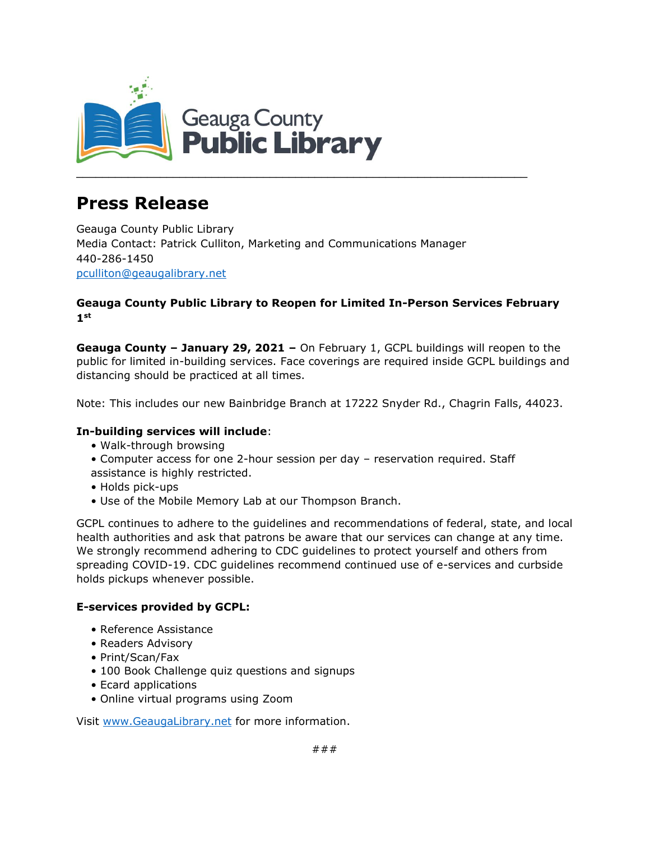

# **Press Release**

Geauga County Public Library Media Contact: Patrick Culliton, Marketing and Communications Manager 440-286-1450 [pculliton@geaugalibrary.net](mailto:pculliton@geaugalibrary.net)

## **Geauga County Public Library to Reopen for Limited In-Person Services February 1st**

**Geauga County – January 29, 2021 –** On February 1, GCPL buildings will reopen to the public for limited in-building services. Face coverings are required inside GCPL buildings and distancing should be practiced at all times.

Note: This includes our new Bainbridge Branch at 17222 Snyder Rd., Chagrin Falls, 44023.

### **In-building services will include**:

- Walk-through browsing
- Computer access for one 2-hour session per day reservation required. Staff assistance is highly restricted.
- Holds pick-ups
- Use of the Mobile Memory Lab at our Thompson Branch.

GCPL continues to adhere to the guidelines and recommendations of federal, state, and local health authorities and ask that patrons be aware that our services can change at any time. We strongly recommend adhering to CDC guidelines to protect yourself and others from spreading COVID-19. CDC guidelines recommend continued use of e-services and curbside holds pickups whenever possible.

### **E-services provided by GCPL:**

- Reference Assistance
- Readers Advisory
- Print/Scan/Fax
- 100 Book Challenge quiz questions and signups
- Ecard applications
- Online virtual programs using Zoom

Visit [www.GeaugaLibrary.net](http://www.geaugalibrary.net/) for more information.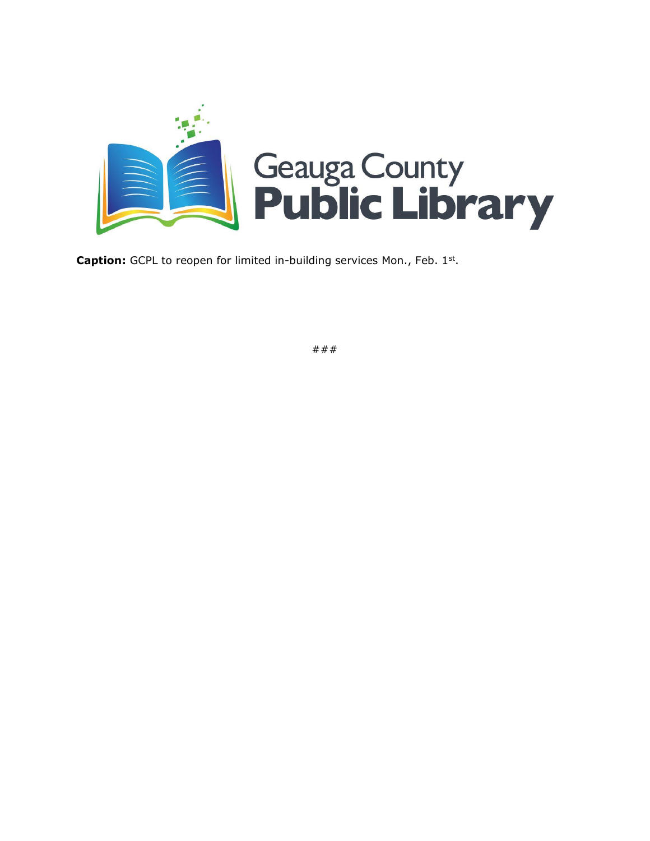

**Caption:** GCPL to reopen for limited in-building services Mon., Feb. 1<sup>st</sup>.

###